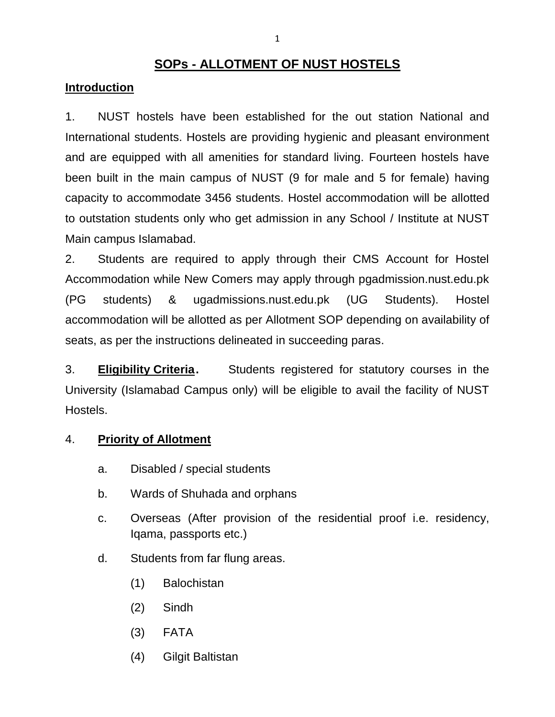# **SOPs - ALLOTMENT OF NUST HOSTELS**

#### **Introduction**

1. NUST hostels have been established for the out station National and International students. Hostels are providing hygienic and pleasant environment and are equipped with all amenities for standard living. Fourteen hostels have been built in the main campus of NUST (9 for male and 5 for female) having capacity to accommodate 3456 students. Hostel accommodation will be allotted to outstation students only who get admission in any School / Institute at NUST Main campus Islamabad.

2. Students are required to apply through their CMS Account for Hostel Accommodation while New Comers may apply through pgadmission.nust.edu.pk (PG students) & ugadmissions.nust.edu.pk (UG Students). Hostel accommodation will be allotted as per Allotment SOP depending on availability of seats, as per the instructions delineated in succeeding paras.

3. **Eligibility Criteria.** Students registered for statutory courses in the University (Islamabad Campus only) will be eligible to avail the facility of NUST Hostels.

### 4. **Priority of Allotment**

- a. Disabled / special students
- b. Wards of Shuhada and orphans
- c. Overseas (After provision of the residential proof i.e. residency, Iqama, passports etc.)
- d. Students from far flung areas.
	- (1) Balochistan
	- (2) Sindh
	- (3) FATA
	- (4) Gilgit Baltistan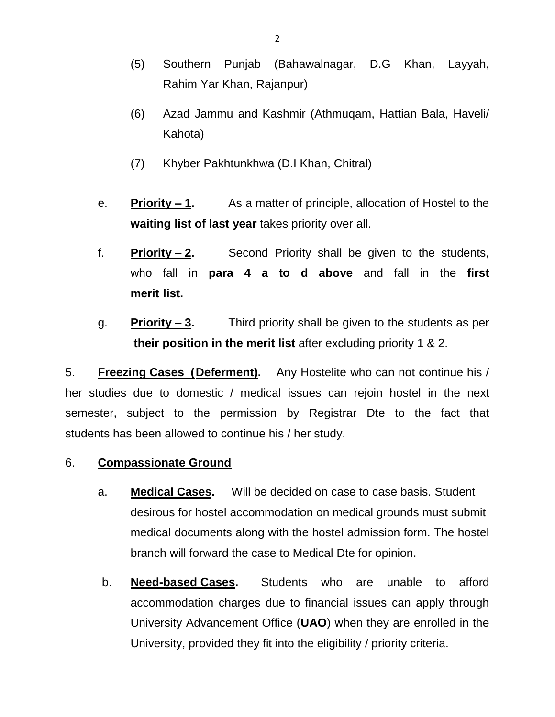- (5) Southern Punjab (Bahawalnagar, D.G Khan, Layyah, Rahim Yar Khan, Rajanpur)
- (6) Azad Jammu and Kashmir (Athmuqam, Hattian Bala, Haveli/ Kahota)
- (7) Khyber Pakhtunkhwa (D.I Khan, Chitral)
- e. **Priority – 1.** As a matter of principle, allocation of Hostel to the **waiting list of last year** takes priority over all.
- f. **Priority – 2.** Second Priority shall be given to the students, who fall in **para 4 a to d above** and fall in the **first merit list.**
- g. **Priority – 3.** Third priority shall be given to the students as per **their position in the merit list** after excluding priority 1 & 2.

5. **Freezing Cases (Deferment).** Any Hostelite who can not continue his / her studies due to domestic / medical issues can rejoin hostel in the next semester, subject to the permission by Registrar Dte to the fact that students has been allowed to continue his / her study.

- 6. **Compassionate Ground**
	- a. **Medical Cases.** Will be decided on case to case basis. Student desirous for hostel accommodation on medical grounds must submit medical documents along with the hostel admission form. The hostel branch will forward the case to Medical Dte for opinion.
	- b. **Need-based Cases.** Students who are unable to afford accommodation charges due to financial issues can apply through University Advancement Office (**UAO**) when they are enrolled in the University, provided they fit into the eligibility / priority criteria.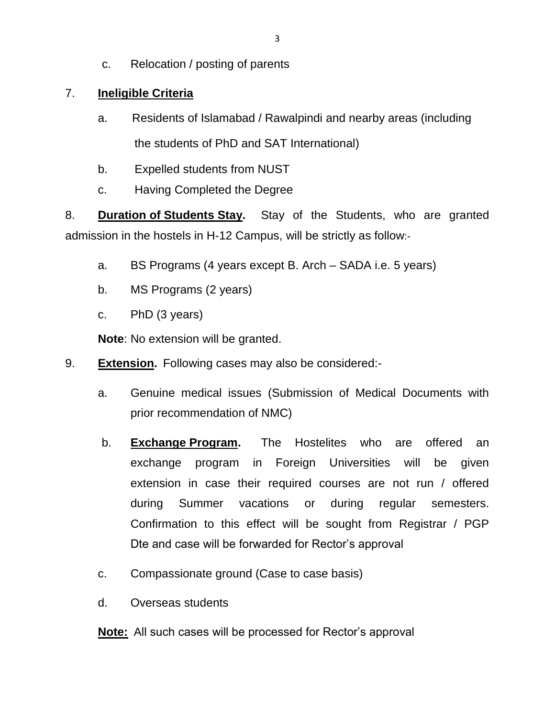c. Relocation / posting of parents

## 7. **Ineligible Criteria**

- a. Residents of Islamabad / Rawalpindi and nearby areas (including the students of PhD and SAT International)
- b. Expelled students from NUST
- c. Having Completed the Degree

8. **Duration of Students Stay.** Stay of the Students, who are granted admission in the hostels in H-12 Campus, will be strictly as follow:-

- a. BS Programs (4 years except B. Arch SADA i.e. 5 years)
- b. MS Programs (2 years)
- c. PhD (3 years)

**Note**: No extension will be granted.

- 9. **Extension.** Following cases may also be considered:
	- a. Genuine medical issues (Submission of Medical Documents with prior recommendation of NMC)
	- b. **Exchange Program.** The Hostelites who are offered an exchange program in Foreign Universities will be given extension in case their required courses are not run / offered during Summer vacations or during regular semesters. Confirmation to this effect will be sought from Registrar / PGP Dte and case will be forwarded for Rector's approval
	- c. Compassionate ground (Case to case basis)
	- d. Overseas students

**Note:** All such cases will be processed for Rector's approval